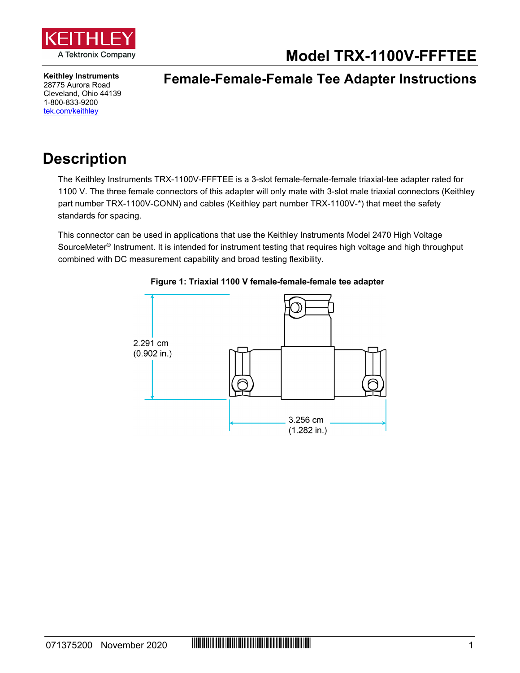

**Model TRX-1100V-FFFTEE**

**Keithley Instruments** 28775 Aurora Road Cleveland, Ohio 44139 1-800-833-9200 [tek.com/keithley](https://www.tek.com/keithley)

### **Female-Female-Female Tee Adapter Instructions**

## **Description**

The Keithley Instruments TRX-1100V-FFFTEE is a 3-slot female-female-female triaxial-tee adapter rated for 1100 V. The three female connectors of this adapter will only mate with 3-slot male triaxial connectors (Keithley part number TRX-1100V-CONN) and cables (Keithley part number TRX-1100V-\*) that meet the safety standards for spacing.

This connector can be used in applications that use the Keithley Instruments Model 2470 High Voltage SourceMeter<sup>®</sup> Instrument. It is intended for instrument testing that requires high voltage and high throughput combined with DC measurement capability and broad testing flexibility.



#### **Figure 1: Triaxial 1100 V female-female-female tee adapter**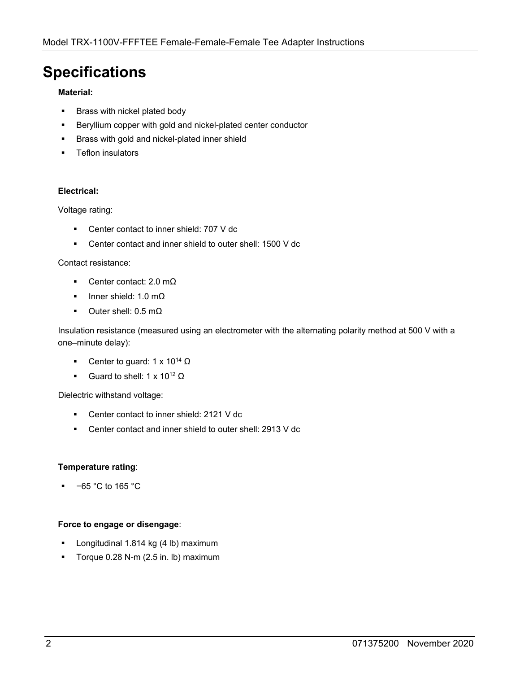## **Specifications**

#### **Material:**

- **Brass with nickel plated body**
- **Beryllium copper with gold and nickel-plated center conductor**
- Brass with gold and nickel-plated inner shield
- Teflon insulators

#### **Electrical:**

Voltage rating:

- Center contact to inner shield: 707 V dc
- Center contact and inner shield to outer shell: 1500 V dc

#### Contact resistance:

- Center contact: 2.0 mΩ
- Inner shield: 1.0 mΩ
- $\blacksquare$  Outer shell: 0.5 m $\Omega$

Insulation resistance (measured using an electrometer with the alternating polarity method at 500 V with a one–minute delay):

- Center to guard:  $1 \times 10^{14}$  Ω
- Guard to shell:  $1 \times 10^{12} \Omega$

Dielectric withstand voltage:

- Center contact to inner shield: 2121 V dc
- Center contact and inner shield to outer shell: 2913 V dc

#### **Temperature rating**:

−65 °C to 165 °C

#### **Force to engage or disengage**:

- Longitudinal 1.814 kg (4 lb) maximum
- Torque 0.28 N-m (2.5 in. lb) maximum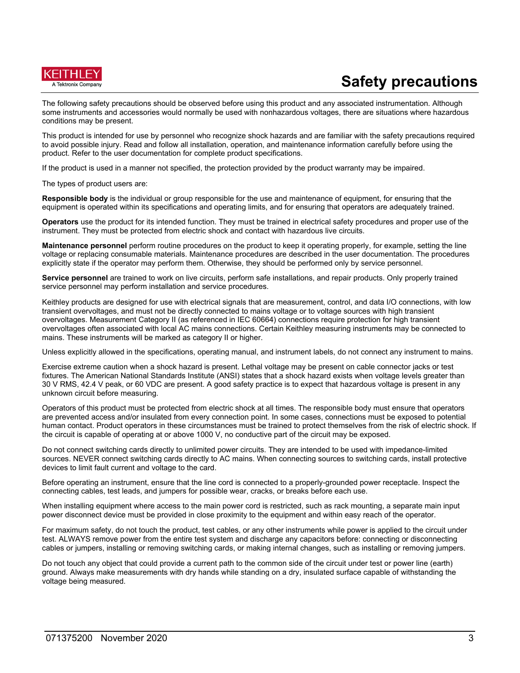

# **Safety precautions**

The following safety precautions should be observed before using this product and any associated instrumentation. Although some instruments and accessories would normally be used with nonhazardous voltages, there are situations where hazardous conditions may be present.

This product is intended for use by personnel who recognize shock hazards and are familiar with the safety precautions required to avoid possible injury. Read and follow all installation, operation, and maintenance information carefully before using the product. Refer to the user documentation for complete product specifications.

If the product is used in a manner not specified, the protection provided by the product warranty may be impaired.

The types of product users are:

**Responsible body** is the individual or group responsible for the use and maintenance of equipment, for ensuring that the equipment is operated within its specifications and operating limits, and for ensuring that operators are adequately trained.

**Operators** use the product for its intended function. They must be trained in electrical safety procedures and proper use of the instrument. They must be protected from electric shock and contact with hazardous live circuits.

**Maintenance personnel** perform routine procedures on the product to keep it operating properly, for example, setting the line voltage or replacing consumable materials. Maintenance procedures are described in the user documentation. The procedures explicitly state if the operator may perform them. Otherwise, they should be performed only by service personnel.

**Service personnel** are trained to work on live circuits, perform safe installations, and repair products. Only properly trained service personnel may perform installation and service procedures.

Keithley products are designed for use with electrical signals that are measurement, control, and data I/O connections, with low transient overvoltages, and must not be directly connected to mains voltage or to voltage sources with high transient overvoltages. Measurement Category II (as referenced in IEC 60664) connections require protection for high transient overvoltages often associated with local AC mains connections. Certain Keithley measuring instruments may be connected to mains. These instruments will be marked as category II or higher.

Unless explicitly allowed in the specifications, operating manual, and instrument labels, do not connect any instrument to mains.

Exercise extreme caution when a shock hazard is present. Lethal voltage may be present on cable connector jacks or test fixtures. The American National Standards Institute (ANSI) states that a shock hazard exists when voltage levels greater than 30 V RMS, 42.4 V peak, or 60 VDC are present. A good safety practice is to expect that hazardous voltage is present in any unknown circuit before measuring.

Operators of this product must be protected from electric shock at all times. The responsible body must ensure that operators are prevented access and/or insulated from every connection point. In some cases, connections must be exposed to potential human contact. Product operators in these circumstances must be trained to protect themselves from the risk of electric shock. If the circuit is capable of operating at or above 1000 V, no conductive part of the circuit may be exposed.

Do not connect switching cards directly to unlimited power circuits. They are intended to be used with impedance-limited sources. NEVER connect switching cards directly to AC mains. When connecting sources to switching cards, install protective devices to limit fault current and voltage to the card.

Before operating an instrument, ensure that the line cord is connected to a properly-grounded power receptacle. Inspect the connecting cables, test leads, and jumpers for possible wear, cracks, or breaks before each use.

When installing equipment where access to the main power cord is restricted, such as rack mounting, a separate main input power disconnect device must be provided in close proximity to the equipment and within easy reach of the operator.

For maximum safety, do not touch the product, test cables, or any other instruments while power is applied to the circuit under test. ALWAYS remove power from the entire test system and discharge any capacitors before: connecting or disconnecting cables or jumpers, installing or removing switching cards, or making internal changes, such as installing or removing jumpers.

Do not touch any object that could provide a current path to the common side of the circuit under test or power line (earth) ground. Always make measurements with dry hands while standing on a dry, insulated surface capable of withstanding the voltage being measured.